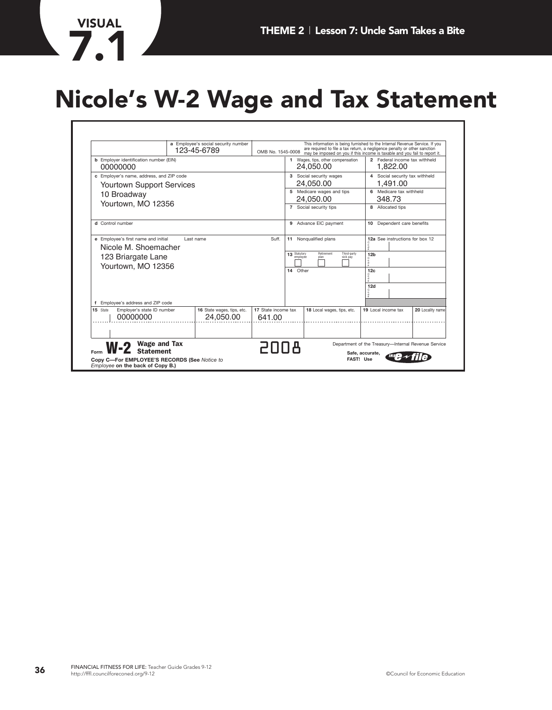# **Nicole's W-2 Wage and Tax Statement**

|                                                                                                                                              |                     | a Employee's social security number<br>123-45-6789 | OMB No. 1545-0008                              |                                            | This information is being furnished to the Internal Revenue Service. If you<br>are required to file a tax return, a negligence penalty or other sanction<br>may be imposed on you if this income is taxable and you fail to report it. |                                                                                 |  |                                                     |  |
|----------------------------------------------------------------------------------------------------------------------------------------------|---------------------|----------------------------------------------------|------------------------------------------------|--------------------------------------------|----------------------------------------------------------------------------------------------------------------------------------------------------------------------------------------------------------------------------------------|---------------------------------------------------------------------------------|--|-----------------------------------------------------|--|
| <b>b</b> Employer identification number (EIN)<br>00000000                                                                                    |                     |                                                    | 1 Wages, tips, other compensation<br>24,050.00 |                                            | 2 Federal income tax withheld<br>1,822.00                                                                                                                                                                                              |                                                                                 |  |                                                     |  |
| c Employer's name, address, and ZIP code<br><b>Yourtown Support Services</b>                                                                 |                     |                                                    |                                                | 3 Social security wages<br>24,050.00       |                                                                                                                                                                                                                                        | 4 Social security tax withheld<br>1,491.00<br>6 Medicare tax withheld<br>348.73 |  |                                                     |  |
| 10 Broadway                                                                                                                                  |                     |                                                    |                                                | 5 Medicare wages and tips<br>24,050.00     |                                                                                                                                                                                                                                        |                                                                                 |  |                                                     |  |
| Yourtown, MO 12356                                                                                                                           |                     |                                                    |                                                | 7 Social security tips                     |                                                                                                                                                                                                                                        | 8 Allocated tips                                                                |  |                                                     |  |
| d Control number                                                                                                                             |                     |                                                    |                                                |                                            | 9 Advance EIC payment                                                                                                                                                                                                                  | 10 Dependent care benefits                                                      |  |                                                     |  |
| e Employee's first name and initial<br>Nicole M. Shoemacher<br>123 Briargate Lane<br>Yourtown, MO 12356<br>f Employee's address and ZIP code |                     | Last name                                          | Suff.                                          | 11<br>13 Statutory<br>employee<br>14 Other | Nonqualified plans<br>Retirement<br>Third-party<br>sick pay<br>plan                                                                                                                                                                    | $\frac{0}{d}$<br>12 <sub>b</sub><br>12c<br>12d                                  |  | 12a See instructions for box 12                     |  |
| 15 State<br>Employer's state ID number<br>00000000                                                                                           |                     | 16 State wages, tips, etc.<br>24,050.00            | 17 State income tax<br>641.00                  |                                            | 18 Local wages, tips, etc.                                                                                                                                                                                                             | 19 Local income tax                                                             |  | 20 Locality name                                    |  |
| <b>Statement</b>                                                                                                                             | <b>Wage and Tax</b> |                                                    | RNNS                                           |                                            |                                                                                                                                                                                                                                        | Safe, accurate,                                                                 |  | Department of the Treasury-Internal Revenue Service |  |

**VISUAL**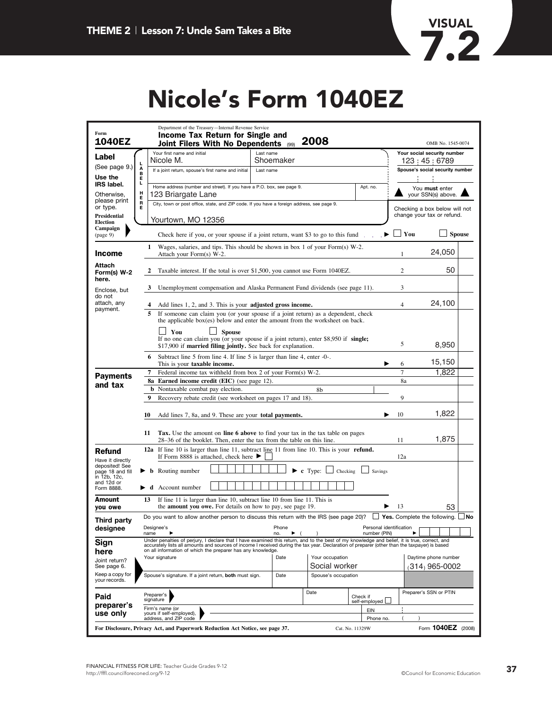

### **Nic ole's Form 1040EZ**

| Form<br>1040EZ                                         | Department of the Treasury-Internal Revenue Service<br>Income Tax Return for Single and<br>2008<br>Joint Filers With No Dependents<br>(99)                                                                                                                                                                                                                   | OMB No. 1545-0074                          |  |  |  |  |
|--------------------------------------------------------|--------------------------------------------------------------------------------------------------------------------------------------------------------------------------------------------------------------------------------------------------------------------------------------------------------------------------------------------------------------|--------------------------------------------|--|--|--|--|
| Label                                                  | Your first name and initial<br>Last name<br>Nicole M.<br>Shoemaker                                                                                                                                                                                                                                                                                           | Your social security number<br>123 45 6789 |  |  |  |  |
| (See page 9.)                                          | г<br>A<br>B<br>If a joint return, spouse's first name and initial<br>Last name                                                                                                                                                                                                                                                                               | Spouse's social security number            |  |  |  |  |
| Use the<br><b>IRS</b> label.                           | Е<br>г                                                                                                                                                                                                                                                                                                                                                       |                                            |  |  |  |  |
| Otherwise,                                             | Home address (number and street). If you have a P.O. box, see page 9.<br>Apt. no.<br>H<br>123 Briargate Lane                                                                                                                                                                                                                                                 | You must enter<br>your SSN(s) above.       |  |  |  |  |
| please print<br>or type.                               | R<br>City, town or post office, state, and ZIP code. If you have a foreign address, see page 9.<br>Е                                                                                                                                                                                                                                                         | Checking a box below will not              |  |  |  |  |
| Presidential<br><b>Election</b>                        | Yourtown, MO 12356                                                                                                                                                                                                                                                                                                                                           | change your tax or refund.                 |  |  |  |  |
| Campaign<br>(page 9)                                   | Check here if you, or your spouse if a joint return, want \$3 to go to this fund.                                                                                                                                                                                                                                                                            | You<br><b>Spouse</b>                       |  |  |  |  |
| <b>Income</b>                                          | 1 Wages, salaries, and tips. This should be shown in box 1 of your Form(s) W-2.<br>Attach your Form(s) W-2.                                                                                                                                                                                                                                                  | 24,050<br>1                                |  |  |  |  |
| Attach<br>Form(s) W-2<br>here.                         | Taxable interest. If the total is over \$1,500, you cannot use Form 1040EZ.<br>2                                                                                                                                                                                                                                                                             | 50<br>2                                    |  |  |  |  |
| Enclose, but<br>do not                                 | Unemployment compensation and Alaska Permanent Fund dividends (see page 11).<br>3                                                                                                                                                                                                                                                                            | 3                                          |  |  |  |  |
| attach, any<br>payment.                                | Add lines 1, 2, and 3. This is your adjusted gross income.                                                                                                                                                                                                                                                                                                   | 24,100<br>4                                |  |  |  |  |
|                                                        | 5.<br>If someone can claim you (or your spouse if a joint return) as a dependent, check<br>the applicable box(es) below and enter the amount from the worksheet on back.                                                                                                                                                                                     |                                            |  |  |  |  |
|                                                        | You<br><b>Spouse</b>                                                                                                                                                                                                                                                                                                                                         |                                            |  |  |  |  |
|                                                        | If no one can claim you (or your spouse if a joint return), enter \$8,950 if single;<br>\$17,900 if married filing jointly. See back for explanation.                                                                                                                                                                                                        | 5<br>8,950                                 |  |  |  |  |
|                                                        | 6 Subtract line 5 from line 4. If line 5 is larger than line 4, enter -0-.<br>This is your taxable income.                                                                                                                                                                                                                                                   | 15,150<br>6                                |  |  |  |  |
| <b>Payments</b>                                        | Federal income tax withheld from box 2 of your Form(s) W-2.<br>7                                                                                                                                                                                                                                                                                             | 7<br>1,822                                 |  |  |  |  |
| and tax                                                | <b>8a</b> Earned income credit (EIC) (see page 12).<br><b>b</b> Nontaxable combat pay election.<br>8b                                                                                                                                                                                                                                                        | 8a                                         |  |  |  |  |
|                                                        | 9<br>Recovery rebate credit (see worksheet on pages 17 and 18).                                                                                                                                                                                                                                                                                              | 9                                          |  |  |  |  |
|                                                        | 10<br>Add lines 7, 8a, and 9. These are your <b>total payments.</b>                                                                                                                                                                                                                                                                                          | 1,822<br>10                                |  |  |  |  |
|                                                        | <b>Tax.</b> Use the amount on <b>line 6 above</b> to find your tax in the tax table on pages<br>11<br>28–36 of the booklet. Then, enter the tax from the table on this line.                                                                                                                                                                                 | 1,875<br>11                                |  |  |  |  |
| Refund                                                 | <b>12a</b> If line 10 is larger than line 11, subtract line 11 from line 10. This is your <b>refund.</b><br>If Form 8888 is attached, check here $\blacktriangleright$                                                                                                                                                                                       | 12a                                        |  |  |  |  |
| Have it directly<br>deposited! See<br>page 18 and fill | $\blacktriangleright$ c Type:<br>$\blacktriangleright$ <b>b</b> Routing number<br>Checking<br>Savings                                                                                                                                                                                                                                                        |                                            |  |  |  |  |
| in 12b, 12c.<br>and 12d or<br>Form 8888.               | $\blacktriangleright$ <b>d</b> Account number                                                                                                                                                                                                                                                                                                                |                                            |  |  |  |  |
| Amount<br>you owe                                      | 13<br>If line 11 is larger than line 10, subtract line 10 from line 11. This is<br>the <b>amount you owe.</b> For details on how to pay, see page 19.                                                                                                                                                                                                        | 13<br>53                                   |  |  |  |  |
| Third party                                            | Do you want to allow another person to discuss this return with the IRS (see page 20)? $\Box$ Yes. Complete the following. $\Box$ No                                                                                                                                                                                                                         |                                            |  |  |  |  |
| designee                                               | Designee's<br>Phone<br>number (PIN)<br>name<br>no.<br>▸                                                                                                                                                                                                                                                                                                      | Personal identification                    |  |  |  |  |
| Sign<br>here                                           | Under penalties of perjury, I declare that I have examined this return, and to the best of my knowledge and belief, it is true, correct, and<br>accurately lists all amounts and sources of income I received during the tax year. Declaration of preparer (other than the taxpayer) is based<br>on all information of which the preparer has any knowledge. |                                            |  |  |  |  |
| Joint return?<br>See page 6.                           | Your occupation<br>Date<br>Your signature<br>Social worker                                                                                                                                                                                                                                                                                                   | Daytime phone number<br>$(314)$ 965-0002   |  |  |  |  |
| Keep a copy for<br>your records.                       | Spouse's signature. If a joint return, both must sign.<br>Spouse's occupation<br>Date                                                                                                                                                                                                                                                                        |                                            |  |  |  |  |
| Paid                                                   | Date<br>Preparer's<br>Check if<br>signature<br>self-employed                                                                                                                                                                                                                                                                                                 | Preparer's SSN or PTIN                     |  |  |  |  |
| preparer's                                             | Firm's name (or<br>EIN<br>yours if self-employed),                                                                                                                                                                                                                                                                                                           |                                            |  |  |  |  |
| use only                                               | address, and ZIP code<br>Phone no.                                                                                                                                                                                                                                                                                                                           |                                            |  |  |  |  |
|                                                        | For Disclosure, Privacy Act, and Paperwork Reduction Act Notice, see page 37.<br>Cat. No. 11329W                                                                                                                                                                                                                                                             | Form 1040EZ (2008)                         |  |  |  |  |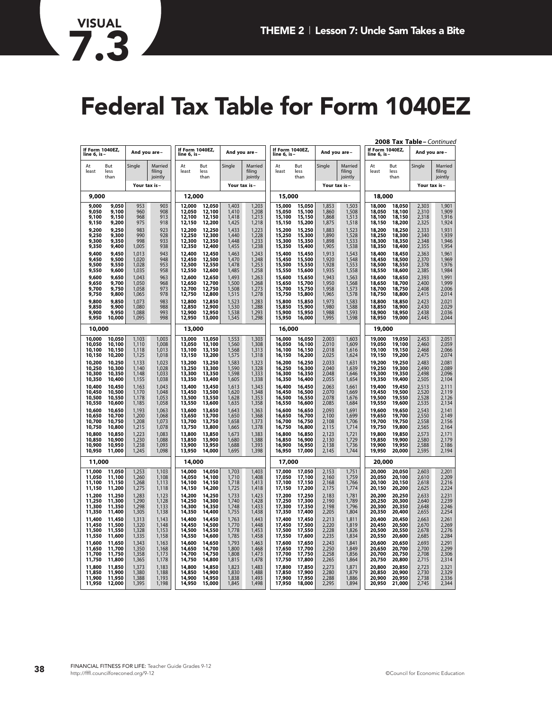# **Federal Tax Table for Form 1040EZ**

|                                      | If Form 1040EZ,<br>And you are-      |                                  |                                  | If Form 1040EZ,<br>And you are       |                                      |                                  |                                  | If Form 1040EZ,                      |                                      |                                  | If Form 1040EZ,                  |                                      | 2008 Tax Table - Continued<br>And you are |                                  |                                  |
|--------------------------------------|--------------------------------------|----------------------------------|----------------------------------|--------------------------------------|--------------------------------------|----------------------------------|----------------------------------|--------------------------------------|--------------------------------------|----------------------------------|----------------------------------|--------------------------------------|-------------------------------------------|----------------------------------|----------------------------------|
| line 6, is-                          |                                      |                                  |                                  | line 6, is-                          |                                      |                                  |                                  | line 6, is                           |                                      | And you are-                     |                                  | line 6, is-                          |                                           |                                  |                                  |
| At<br>least                          | But<br>less<br>than                  | Single                           | Married<br>filina<br>jointly     | At<br>least                          | But<br>less<br>than                  | Single                           | Married<br>filing<br>jointly     | At<br>least                          | <b>But</b><br>less<br>than           | Single                           | Married<br>filing<br>jointly     | At<br>least                          | <b>But</b><br>less<br>than                | Single                           | Married<br>filing<br>jointly     |
|                                      |                                      | Your tax is-                     |                                  |                                      |                                      | Your tax is-                     |                                  |                                      | Your tax is-                         |                                  |                                  |                                      |                                           | Your tax is-                     |                                  |
| 9,000                                |                                      |                                  |                                  | 12,000                               |                                      |                                  |                                  |                                      | 15,000                               |                                  |                                  |                                      | 18,000                                    |                                  |                                  |
| 9,000<br>9,050<br>9,100<br>9,150     | 9,050<br>9,100<br>9,150<br>9,200     | 953<br>960<br>968<br>975         | 903<br>908<br>913<br>918         | 12,000<br>12,050<br>12,100<br>12,150 | 12,050<br>12,100<br>12,150<br>12,200 | 1,403<br>1,410<br>1,418<br>1,425 | 1,203<br>1,208<br>1,213<br>1,218 | 15,000<br>15,050<br>15,100<br>15,150 | 15,050<br>15,100<br>15,150<br>15,200 | 1,853<br>1,860<br>1,868<br>1,875 | 1,503<br>1,508<br>1,513<br>1,518 | 18,000<br>18,050<br>18,100<br>18,150 | 18,050<br>18,100<br>18,150<br>18,200      | 2,303<br>2,310<br>2,318<br>2,325 | 1,901<br>1,909<br>1,916<br>1,924 |
| 9,200<br>9,250<br>9,300<br>9,350     | 9,250<br>9,300<br>9,350<br>9,400     | 983<br>990<br>998<br>1,005       | 923<br>928<br>933<br>938         | 12,200<br>12,250<br>12,300<br>12,350 | 12,250<br>12,300<br>12,350<br>12,400 | 1,433<br>1,440<br>1,448<br>1,455 | 1,223<br>1,228<br>1,233<br>1,238 | 15,200<br>15,250<br>15,300<br>15,350 | 15,250<br>15,300<br>15,350<br>15,400 | 1,883<br>1,890<br>1,898<br>1,905 | 1,523<br>1,528<br>1,533<br>1,538 | 18,200<br>18,250<br>18,300<br>18,350 | 18,250<br>18,300<br>18,350<br>18,400      | 2,333<br>2,340<br>2,348<br>2,355 | 1,931<br>1,939<br>1,946<br>1,954 |
| 9,400<br>9,450<br>9,500<br>9,550     | 9,450<br>9,500<br>9,550<br>9,600     | 1,013<br>1,020<br>1,028<br>1,035 | 943<br>948<br>953<br>958         | 12,400<br>12,450<br>12,500<br>12,550 | 12,450<br>12,500<br>12,550<br>12,600 | 1,463<br>1,470<br>1,478<br>1,485 | 1,243<br>1,248<br>1,253<br>1,258 | 15,400<br>15,450<br>15,500<br>15,550 | 15,450<br>15,500<br>15,550<br>15,600 | 1,913<br>1,920<br>1,928<br>1,935 | 1,543<br>1,548<br>1,553<br>1,558 | 18,400<br>18,450<br>18,500<br>18,550 | 18,450<br>18,500<br>18,550<br>18,600      | 2,363<br>2,370<br>2,378<br>2,385 | 1,961<br>1,969<br>1,976<br>1,984 |
| 9.600<br>9,650<br>9,700<br>9,750     | 9,650<br>9,700<br>9,750<br>9,800     | 1,043<br>1,050<br>1,058<br>1,065 | 963<br>968<br>973<br>978         | 12,600<br>12,650<br>12,700<br>12,750 | 12,650<br>12,700<br>12,750<br>12,800 | 1,493<br>1,500<br>1,508<br>1,515 | 1,263<br>1,268<br>1,273<br>1,278 | 15,600<br>15,650<br>15,700<br>15,750 | 15,650<br>15,700<br>15,750<br>15,800 | 1,943<br>1,950<br>1,958<br>1,965 | 1,563<br>1,568<br>1,573<br>1,578 | 18,600<br>18,650<br>18,700<br>18,750 | 18,650<br>18,700<br>18,750<br>18,800      | 2,393<br>2,400<br>2,408<br>2,415 | 1,991<br>1,999<br>2,006<br>2,014 |
| 9,800<br>9,850<br>9,900<br>9,950     | 9,850<br>9,900<br>9,950<br>10,000    | 1,073<br>1,080<br>1,088<br>1,095 | 983<br>988<br>993<br>998         | 12,800<br>12,850<br>12,900<br>12,950 | 12,850<br>12,900<br>12,950<br>13,000 | 1,523<br>1,530<br>1,538<br>1,545 | 1,283<br>1,288<br>1,293<br>1,298 | 15,800<br>15,850<br>15,900<br>15,950 | 15,850<br>15,900<br>15,950<br>16,000 | 1,973<br>1,980<br>1,988<br>1,995 | 1,583<br>1,588<br>1,593<br>1,598 | 18,800<br>18,850<br>18,900<br>18,950 | 18,850<br>18,900<br>18,950<br>19,000      | 2.423<br>2,430<br>2,438<br>2.445 | 2,021<br>2,029<br>2,036<br>2,044 |
|                                      | 10,000                               |                                  |                                  | 13,000                               |                                      |                                  |                                  | 16,000                               |                                      |                                  |                                  | 19,000                               |                                           |                                  |                                  |
| 10,000<br>10,050<br>10,100<br>10,150 | 10,050<br>10,100<br>10,150<br>10,200 | 1,103<br>1,110<br>1,118<br>1,125 | 1,003<br>1,008<br>1,013<br>1,018 | 13,000<br>13,050<br>13,100<br>13,150 | 13,050<br>13,100<br>13,150<br>13,200 | 1,553<br>1,560<br>1,568<br>1,575 | 1,303<br>1,308<br>1,313<br>1,318 | 16,000<br>16,050<br>16,100<br>16,150 | 16,050<br>16,100<br>16,150<br>16,200 | 2,003<br>2,010<br>2,018<br>2,025 | 1,603<br>1,609<br>1,616<br>1,624 | 19,000<br>19,050<br>19,100<br>19,150 | 19,050<br>19,100<br>19,150<br>19,200      | 2,453<br>2,460<br>2,468<br>2,475 | 2,051<br>2,059<br>2,066<br>2,074 |
| 10,200<br>10,250<br>10,300<br>10,350 | 10,250<br>10,300<br>10,350<br>10,400 | 1,133<br>1,140<br>1,148<br>1,155 | 1,023<br>1,028<br>1,033<br>1,038 | 13,200<br>13,250<br>13,300<br>13,350 | 13,250<br>13,300<br>13,350<br>13,400 | 1,583<br>1,590<br>1,598<br>1,605 | 1,323<br>1,328<br>1,333<br>1,338 | 16,200<br>16,250<br>16,300<br>16,350 | 16,250<br>16,300<br>16,350<br>16,400 | 2,033<br>2,040<br>2,048<br>2,055 | 1,631<br>1,639<br>1,646<br>1,654 | 19,200<br>19,250<br>19,300<br>19,350 | 19,250<br>19,300<br>19,350<br>19,400      | 2,483<br>2,490<br>2,498<br>2,505 | 2,081<br>2,089<br>2,096<br>2,104 |
| 10,400<br>10,450<br>10,500<br>10,550 | 10,450<br>10,500<br>10,550<br>10,600 | 1,163<br>1,170<br>1,178<br>1,185 | 1,043<br>1,048<br>1,053<br>1,058 | 13,400<br>13,450<br>13,500<br>13,550 | 13,450<br>13,500<br>13,550<br>13,600 | 1,613<br>1,620<br>1,628<br>1,635 | 1,343<br>1,348<br>1,353<br>1,358 | 16,400<br>16,450<br>16,500<br>16,550 | 16,450<br>16,500<br>16,550<br>16,600 | 2,063<br>2,070<br>2,078<br>2,085 | 1,661<br>1,669<br>1,676<br>1,684 | 19,400<br>19,450<br>19,500<br>19,550 | 19,450<br>19,500<br>19,550<br>19,600      | 2,513<br>2,520<br>2,528<br>2,535 | 2,111<br>2,119<br>2,126<br>2,134 |
| 10,600<br>10,650<br>10,700<br>10,750 | 10,650<br>10,700<br>10,750<br>10,800 | 1,193<br>1,200<br>1,208<br>1,215 | 1,063<br>1,068<br>1,073<br>1,078 | 13,600<br>13,650<br>13,700<br>13,750 | 13,650<br>13,700<br>13,750<br>13,800 | 1,643<br>1,650<br>1,658<br>1,665 | 1,363<br>1,368<br>1,373<br>1,378 | 16,600<br>16,650<br>16,700<br>16,750 | 16,650<br>16,700<br>16,750<br>16,800 | 2.093<br>2,100<br>2,108<br>2,115 | 1,691<br>1,699<br>1,706<br>1,714 | 19,600<br>19,650<br>19,700<br>19,750 | 19,650<br>19,700<br>19,750<br>19,800      | 2.543<br>2,550<br>2,558<br>2,565 | 2,141<br>2,149<br>2,156<br>2,164 |
| 10,800<br>10,850<br>10,900<br>10,950 | 10,850<br>10,900<br>10,950<br>11,000 | 1,223<br>1,230<br>1,238<br>1,245 | 1,083<br>1,088<br>1,093<br>1,098 | 13,800<br>13,850<br>13,900<br>13,950 | 13,850<br>13,900<br>13,950<br>14,000 | 1,673<br>1,680<br>1,688<br>1,695 | 1,383<br>1,388<br>1,393<br>1,398 | 16,800<br>16,850<br>16,900<br>16,950 | 16,850<br>16,900<br>16,950<br>17,000 | 2,123<br>2,130<br>2,138<br>2,145 | 1,721<br>1,729<br>1,736<br>1,744 | 19,800<br>19,850<br>19,900<br>19,950 | 19,850<br>19,900<br>19,950<br>20,000      | 2,573<br>2,580<br>2,588<br>2,595 | 2,171<br>2,179<br>2,186<br>2,194 |
| 11,000                               |                                      |                                  |                                  | 14,000                               |                                      |                                  |                                  | 17,000                               |                                      |                                  |                                  | 20,000                               |                                           |                                  |                                  |
| 11,000<br>11,050<br>11,100<br>11,150 | 11,050<br>11,100<br>11,150<br>11,200 | 1,253<br>1,260<br>1,268<br>1,275 | 1,103<br>1,108<br>1,113<br>1,118 | 14,000<br>14,050<br>14,100<br>14,150 | 14,050<br>14,100<br>14,150<br>14,200 | 1,703<br>1,710<br>1,718<br>1,725 | 1,403<br>1,408<br>1,413<br>1,418 | 17,000<br>17,050<br>17,100<br>17,150 | 17,050<br>17,100<br>17,150<br>17,200 | 2,153<br>2,160<br>2,168<br>2,175 | 1,751<br>1,759<br>1,766<br>1,774 | 20,000<br>20,050<br>20,100<br>20,150 | 20,050<br>20,100<br>20,150<br>20,200      | 2,603<br>2,610<br>2,618<br>2,625 | 2,201<br>2,209<br>2,216<br>2,224 |
| 11,200<br>11,250<br>11,300<br>11,350 | 11,250<br>11,300<br>11,350<br>11,400 | 1,283<br>1,290<br>1,298<br>1,305 | 1,123<br>1,128<br>1,133<br>1,138 | 14,200<br>14,250<br>14,300<br>14,350 | 14,250<br>14,300<br>14,350<br>14,400 | 1,733<br>1,740<br>1,748<br>1,755 | 1,423<br>1,428<br>1,433<br>1,438 | 17,200<br>17,250<br>17,300<br>17,350 | 17,250<br>17,300<br>17,350<br>17,400 | 2,183<br>2,190<br>2,198<br>2,205 | 1,781<br>1,789<br>1,796<br>1,804 | 20,200<br>20,250<br>20,300<br>20,350 | 20,250<br>20,300<br>20,350<br>20,400      | 2,633<br>2,640<br>2,648<br>2,655 | 2,231<br>2,239<br>2,246<br>2,254 |
| 11,400<br>11,450<br>11,500<br>11,550 | 11,450<br>11,500<br>11,550<br>11,600 | 1,313<br>1,320<br>1,328<br>1,335 | 1,143<br>1,148<br>1,153<br>1,158 | 14,400<br>14,450<br>14,500<br>14,550 | 14,450<br>14,500<br>14,550<br>14,600 | 1,763<br>1,770<br>1,778<br>1,785 | 1.443<br>1,448<br>1,453<br>1,458 | 17,400<br>17,450<br>17,500<br>17,550 | 17,450<br>17,500<br>17,550<br>17,600 | 2,213<br>2,220<br>2,228<br>2,235 | 1,811<br>1,819<br>1,826<br>1,834 | 20,400<br>20,450<br>20,500<br>20,550 | 20,450<br>20,500<br>20,550<br>20,600      | 2.663<br>2,670<br>2,678<br>2,685 | 2,261<br>2,269<br>2,276<br>2,284 |
| 11,600<br>11,650<br>11,700<br>11,750 | 11,650<br>11,700<br>11,750<br>11,800 | 1,343<br>1,350<br>1,358<br>1,365 | 1,163<br>1,168<br>1,173<br>1,178 | 14,600<br>14,650<br>14,700<br>14,750 | 14,650<br>14,700<br>14,750<br>14,800 | 1.793<br>1,800<br>1,808<br>1,815 | 1,463<br>1,468<br>1,473<br>1,478 | 17,600<br>17,650<br>17,700<br>17,750 | 17,650<br>17,700<br>17,750<br>17,800 | 2.243<br>2,250<br>2,258<br>2,265 | 1,841<br>1,849<br>1,856<br>1,864 | 20,600<br>20,650<br>20,700<br>20,750 | 20,650<br>20,700<br>20,750<br>20,800      | 2.693<br>2,700<br>2,708<br>2,715 | 2,291<br>2,299<br>2,306<br>2,314 |
| 11,800<br>11,850<br>11,900<br>11,950 | 11,850<br>11,900<br>11,950<br>12,000 | 1,373<br>1,380<br>1,388<br>1,395 | 1,183<br>1,188<br>1.193<br>1,198 | 14,800<br>14,850<br>14,900<br>14,950 | 14,850<br>14,900<br>14,950<br>15,000 | 1,823<br>1,830<br>1.838<br>1,845 | 1,483<br>1,488<br>1.493<br>1,498 | 17,800<br>17,850<br>17,900<br>17,950 | 17,850<br>17,900<br>17,950<br>18,000 | 2,273<br>2,280<br>2.288<br>2,295 | 1,871<br>1,879<br>1.886<br>1,894 | 20,800<br>20,850<br>20,900<br>20,950 | 20,850<br>20,900<br>20,950<br>21,000      | 2,723<br>2,730<br>2,738<br>2,745 | 2,321<br>2,329<br>2.336<br>2,344 |

**VISUAL**

l,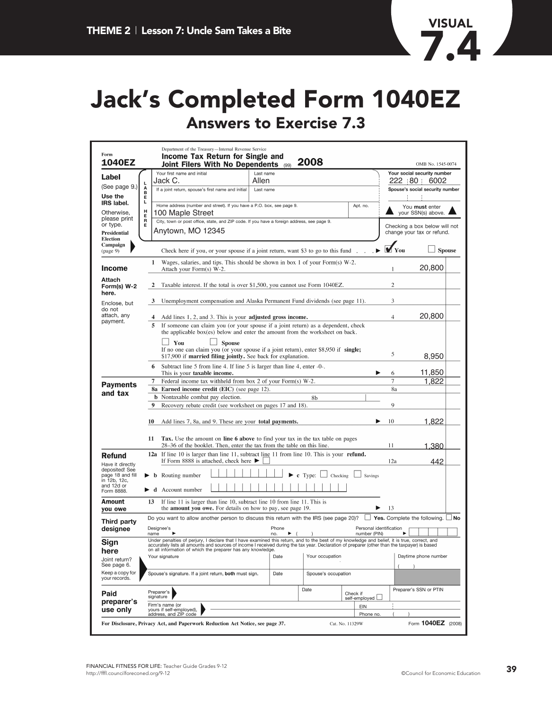

### **Jack's Completed Form 1040EZ Answers to Exercise 7.3**

| Form<br><b>1040EZ</b>                              |                                                                                                                                                       |                                                    | Department of the Treasury-Internal Revenue Service<br>Income Tax Return for Single and<br><b>Joint Filers With No Dependents</b>                                                                                                                                                                                                                            |               |           | (99)         | 2008     |                     |                                         |                                        |                                                | OMB No. 1545-0074  |               |  |  |
|----------------------------------------------------|-------------------------------------------------------------------------------------------------------------------------------------------------------|----------------------------------------------------|--------------------------------------------------------------------------------------------------------------------------------------------------------------------------------------------------------------------------------------------------------------------------------------------------------------------------------------------------------------|---------------|-----------|--------------|----------|---------------------|-----------------------------------------|----------------------------------------|------------------------------------------------|--------------------|---------------|--|--|
| Label                                              |                                                                                                                                                       |                                                    | Your first name and initial                                                                                                                                                                                                                                                                                                                                  |               | Last name |              |          |                     |                                         |                                        | Your social security number                    |                    |               |  |  |
| (See page 9.)                                      | Jack C.<br>Allen<br>L<br>Α<br>If a joint return, spouse's first name and initial<br>Last name                                                         |                                                    |                                                                                                                                                                                                                                                                                                                                                              |               |           |              |          |                     |                                         |                                        | 222 80 6002<br>Spouse's social security number |                    |               |  |  |
| Use the                                            | B<br>E<br>L                                                                                                                                           |                                                    |                                                                                                                                                                                                                                                                                                                                                              |               |           |              |          |                     |                                         |                                        |                                                |                    |               |  |  |
| <b>IRS</b> label.                                  | Home address (number and street). If you have a P.O. box, see page 9.<br>Apt. no.                                                                     |                                                    |                                                                                                                                                                                                                                                                                                                                                              |               |           |              |          |                     |                                         | You must enter                         |                                                |                    |               |  |  |
| Otherwise.<br>please print                         | Н<br>100 Maple Street<br>Е                                                                                                                            |                                                    |                                                                                                                                                                                                                                                                                                                                                              |               |           |              |          |                     |                                         |                                        | your SSN(s) above.                             |                    |               |  |  |
| or type.                                           | R<br>Е                                                                                                                                                |                                                    | City, town or post office, state, and ZIP code. If you have a foreign address, see page 9.                                                                                                                                                                                                                                                                   |               |           |              |          |                     |                                         |                                        | Checking a box below will not                  |                    |               |  |  |
| <b>Presidential</b><br>Election<br>Campaign        | Anytown, MO 12345                                                                                                                                     |                                                    |                                                                                                                                                                                                                                                                                                                                                              |               |           |              |          |                     |                                         |                                        | change your tax or refund.                     |                    |               |  |  |
| (page 9)                                           |                                                                                                                                                       |                                                    | Check here if you, or your spouse if a joint return, want \$3 to go to this fund.                                                                                                                                                                                                                                                                            |               |           |              |          |                     |                                         | $\blacktriangleright \blacksquare$ You |                                                |                    | <b>Spouse</b> |  |  |
| <b>Income</b>                                      |                                                                                                                                                       | 1                                                  | Wages, salaries, and tips. This should be shown in box 1 of your Form(s) $W-2$ .<br>Attach your Form(s) W-2.                                                                                                                                                                                                                                                 |               |           |              |          |                     |                                         | 1                                      |                                                | 20,800             |               |  |  |
| Attach<br>Form(s) W-2<br>here.                     |                                                                                                                                                       |                                                    | Taxable interest. If the total is over \$1,500, you cannot use Form 1040EZ.                                                                                                                                                                                                                                                                                  |               |           |              |          |                     |                                         | $\overline{c}$                         |                                                |                    |               |  |  |
| Enclose, but<br>do not                             |                                                                                                                                                       | 3                                                  | Unemployment compensation and Alaska Permanent Fund dividends (see page 11).                                                                                                                                                                                                                                                                                 |               |           |              |          |                     |                                         | 3                                      |                                                |                    |               |  |  |
| attach, any                                        |                                                                                                                                                       |                                                    | Add lines 1, 2, and 3. This is your <b>adjusted gross income.</b>                                                                                                                                                                                                                                                                                            |               |           |              |          |                     |                                         | 4                                      |                                                | 20,800             |               |  |  |
| payment.                                           |                                                                                                                                                       | 5                                                  | If someone can claim you (or your spouse if a joint return) as a dependent, check<br>the applicable box(es) below and enter the amount from the worksheet on back.<br>$\perp$ You                                                                                                                                                                            | <b>Spouse</b> |           |              |          |                     |                                         |                                        |                                                |                    |               |  |  |
|                                                    |                                                                                                                                                       |                                                    | If no one can claim you (or your spouse if a joint return), enter \$8,950 if single;<br>\$17,900 if married filing jointly. See back for explanation.                                                                                                                                                                                                        |               |           |              |          |                     |                                         | 5                                      |                                                | 8,950              |               |  |  |
|                                                    |                                                                                                                                                       | 6                                                  | Subtract line 5 from line 4. If line 5 is larger than line 4, enter -0-.<br>This is your taxable income.                                                                                                                                                                                                                                                     |               |           |              |          |                     |                                         | 6                                      |                                                | 11,850             |               |  |  |
|                                                    |                                                                                                                                                       |                                                    | Federal income tax withheld from box 2 of your Form(s) W-2.                                                                                                                                                                                                                                                                                                  |               |           |              |          |                     |                                         | $\overline{7}$                         |                                                | 1,822              |               |  |  |
| <b>Payments</b><br>and tax                         | <b>8a</b> Earned income credit (EIC) (see page 12).                                                                                                   |                                                    |                                                                                                                                                                                                                                                                                                                                                              |               |           |              |          |                     |                                         |                                        |                                                |                    |               |  |  |
|                                                    |                                                                                                                                                       |                                                    | <b>b</b> Nontaxable combat pay election.                                                                                                                                                                                                                                                                                                                     |               |           |              |          | 8b                  |                                         |                                        |                                                |                    |               |  |  |
|                                                    |                                                                                                                                                       | 9                                                  | Recovery rebate credit (see worksheet on pages 17 and 18).                                                                                                                                                                                                                                                                                                   |               |           |              |          |                     |                                         | $\mathbf Q$                            |                                                |                    |               |  |  |
|                                                    |                                                                                                                                                       | 10                                                 | Add lines 7, 8a, and 9. These are your <b>total payments.</b>                                                                                                                                                                                                                                                                                                |               |           |              |          |                     |                                         | 10                                     |                                                | 1,822              |               |  |  |
|                                                    |                                                                                                                                                       | 11                                                 | <b>Tax.</b> Use the amount on <b>line 6 above</b> to find your tax in the tax table on pages<br>28–36 of the booklet. Then, enter the tax from the table on this line.                                                                                                                                                                                       |               |           |              |          |                     |                                         | 11                                     |                                                | 1.380              |               |  |  |
| <b>Refund</b><br>Have it directly                  |                                                                                                                                                       |                                                    | 12a If line 10 is larger than line 11, subtract line 11 from line 10. This is your refund.<br>If Form 8888 is attached, check here $\blacktriangleright$                                                                                                                                                                                                     |               |           |              |          |                     |                                         | 12a                                    |                                                | 442                |               |  |  |
| deposited! See<br>page 18 and fill<br>in 12b, 12c, | <b>c</b> Type: $\Box$ Checking<br><b>b</b> Routing number<br>Savings                                                                                  |                                                    |                                                                                                                                                                                                                                                                                                                                                              |               |           |              |          |                     |                                         |                                        |                                                |                    |               |  |  |
| and 12d or<br>Form 8888.                           |                                                                                                                                                       |                                                    | d Account number                                                                                                                                                                                                                                                                                                                                             |               |           |              |          |                     |                                         |                                        |                                                |                    |               |  |  |
| Amount<br>you owe                                  | 13<br>If line 11 is larger than line 10, subtract line 10 from line 11. This is<br>the <b>amount you owe.</b> For details on how to pay, see page 19. |                                                    |                                                                                                                                                                                                                                                                                                                                                              |               |           |              |          |                     |                                         | 13                                     |                                                |                    |               |  |  |
| Third party                                        |                                                                                                                                                       |                                                    | Do you want to allow another person to discuss this return with the IRS (see page 20)? $\Box$ Yes. Complete the following. $\Box$ No                                                                                                                                                                                                                         |               |           |              |          |                     |                                         |                                        |                                                |                    |               |  |  |
| designee                                           |                                                                                                                                                       | Designee's<br>name                                 |                                                                                                                                                                                                                                                                                                                                                              |               |           | Phone<br>no. | $\left($ |                     | Personal identification<br>number (PIN) |                                        |                                                |                    |               |  |  |
| Sign<br>here                                       |                                                                                                                                                       |                                                    | Under penalties of perjury, I declare that I have examined this return, and to the best of my knowledge and belief, it is true, correct, and<br>accurately lists all amounts and sources of income I received during the tax year. Declaration of preparer (other than the taxpayer) is based<br>on all information of which the preparer has any knowledge. |               |           |              |          |                     |                                         |                                        |                                                |                    |               |  |  |
| Joint return?<br>See page 6.                       | Your occupation<br>Your signature<br>Date                                                                                                             |                                                    |                                                                                                                                                                                                                                                                                                                                                              |               |           |              |          |                     |                                         | Daytime phone number                   |                                                |                    |               |  |  |
| Keep a copy for<br>your records.                   |                                                                                                                                                       |                                                    | Spouse's signature. If a joint return, both must sign.                                                                                                                                                                                                                                                                                                       |               |           | Date         |          | Spouse's occupation |                                         |                                        |                                                |                    |               |  |  |
| Paid                                               |                                                                                                                                                       | Preparer's<br>signature                            |                                                                                                                                                                                                                                                                                                                                                              |               |           |              | Date     |                     | Check if<br>self-employed [             |                                        | Preparer's SSN or PTIN                         |                    |               |  |  |
| preparer's<br>use only                             |                                                                                                                                                       | Firm's name (or<br>EIN<br>yours if self-employed), |                                                                                                                                                                                                                                                                                                                                                              |               |           |              |          |                     |                                         |                                        |                                                |                    |               |  |  |
|                                                    |                                                                                                                                                       |                                                    | address, and ZIP code<br>For Disclosure, Privacy Act, and Paperwork Reduction Act Notice, see page 37.                                                                                                                                                                                                                                                       |               |           |              |          |                     | Phone no.<br>Cat. No. 11329W            |                                        |                                                | Form 1040EZ (2008) |               |  |  |